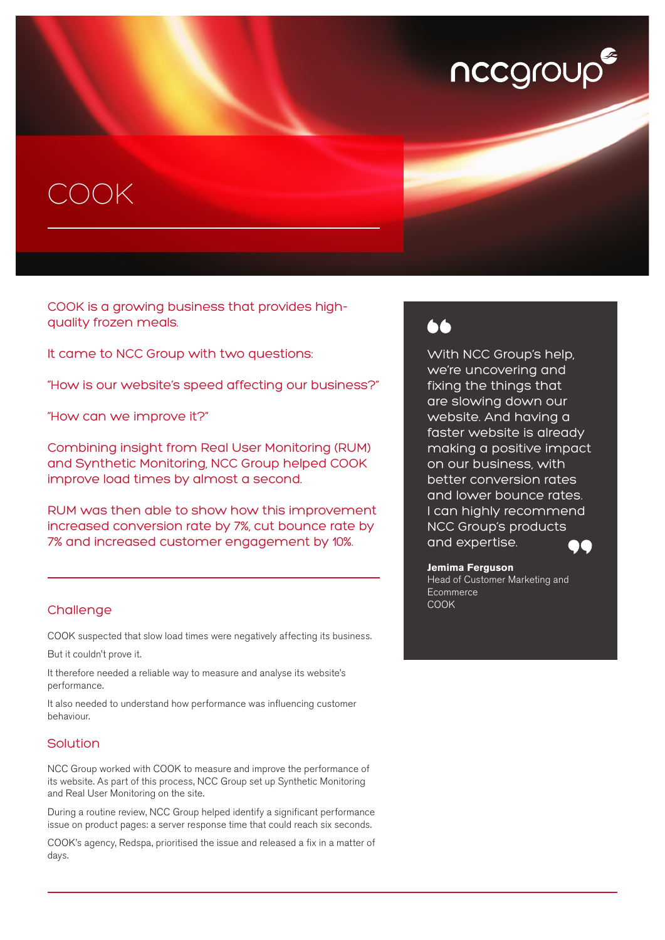# nccgroup

## COOK

COOK is a growing business that provides highquality frozen meals.

It came to NCC Group with two questions:

"How is our website's speed affecting our business?"

"How can we improve it?"

Combining insight from Real User Monitoring (RUM) and Synthetic Monitoring, NCC Group helped COOK improve load times by almost a second.

RUM was then able to show how this improvement increased conversion rate by 7%, cut bounce rate by 7% and increased customer engagement by 10%.

#### **Challenge**

COOK suspected that slow load times were negatively affecting its business.

But it couldn't prove it.

It therefore needed a reliable way to measure and analyse its website's performance.

It also needed to understand how performance was influencing customer behaviour.

#### Solution

NCC Group worked with COOK to measure and improve the performance of its website. As part of this process, NCC Group set up Synthetic Monitoring and Real User Monitoring on the site.

During a routine review, NCC Group helped identify a significant performance issue on product pages: a server response time that could reach six seconds.

COOK's agency, Redspa, prioritised the issue and released a fix in a matter of days.

## 66

With NCC Group's help, we're uncovering and fixing the things that are slowing down our website. And having a faster website is already making a positive impact on our business, with better conversion rates and lower bounce rates. I can highly recommend NCC Group's products and expertise.

**Jemima Ferguson** Head of Customer Marketing and **Ecommerce** COOK